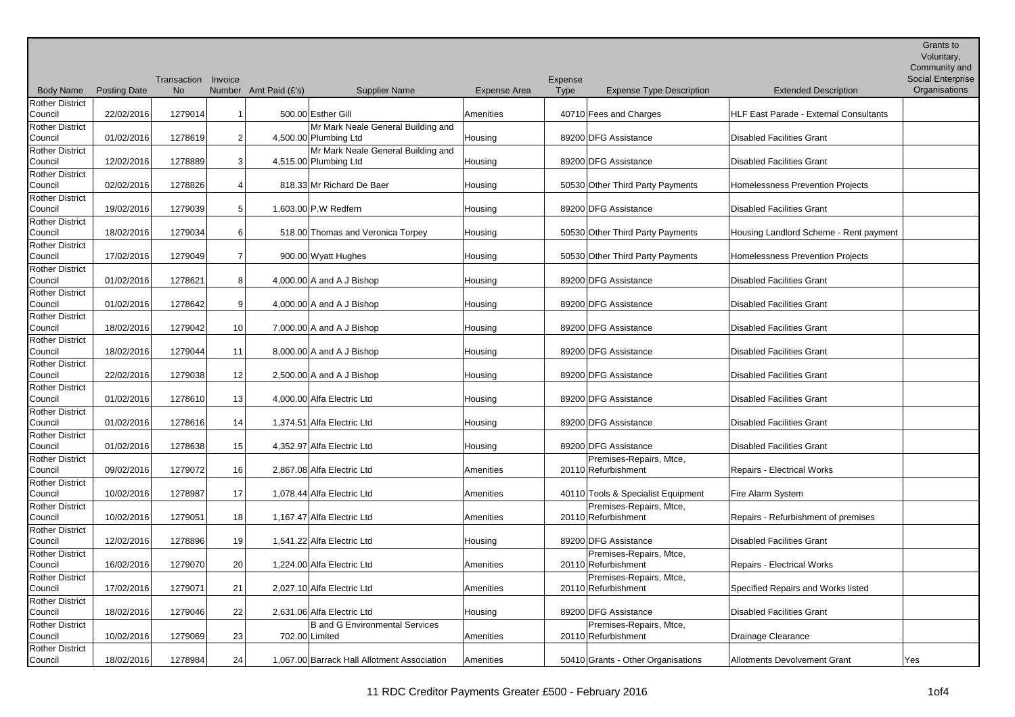|                                   |                     |                          |         |                       |                                                             |                     |                        |                                                |                                               | Grants to<br>Voluntary,                   |
|-----------------------------------|---------------------|--------------------------|---------|-----------------------|-------------------------------------------------------------|---------------------|------------------------|------------------------------------------------|-----------------------------------------------|-------------------------------------------|
|                                   |                     |                          |         |                       |                                                             |                     |                        |                                                |                                               | Community and                             |
| <b>Body Name</b>                  | <b>Posting Date</b> | Transaction<br><b>No</b> | Invoice | Number Amt Paid (£'s) | <b>Supplier Name</b>                                        | <b>Expense Area</b> | Expense<br><b>Type</b> | <b>Expense Type Description</b>                | <b>Extended Description</b>                   | <b>Social Enterprise</b><br>Organisations |
| <b>Rother District</b>            |                     |                          |         |                       |                                                             |                     |                        |                                                |                                               |                                           |
| Council                           | 22/02/2016          | 1279014                  |         |                       | 500.00 Esther Gill                                          | Amenities           |                        | 40710 Fees and Charges                         | <b>HLF East Parade - External Consultants</b> |                                           |
| <b>Rother District</b><br>Council | 01/02/2016          | 1278619                  | 2       |                       | Mr Mark Neale General Building and<br>4,500.00 Plumbing Ltd | Housing             |                        | 89200 DFG Assistance                           | <b>Disabled Facilities Grant</b>              |                                           |
| <b>Rother District</b><br>Council | 12/02/2016          | 1278889                  | З       |                       | Mr Mark Neale General Building and<br>4,515.00 Plumbing Ltd | Housing             |                        | 89200 DFG Assistance                           | <b>Disabled Facilities Grant</b>              |                                           |
| <b>Rother District</b>            |                     |                          |         |                       |                                                             |                     |                        |                                                |                                               |                                           |
| Council                           | 02/02/2016          | 1278826                  |         |                       | 818.33 Mr Richard De Baer                                   | Housing             |                        | 50530 Other Third Party Payments               | Homelessness Prevention Projects              |                                           |
| <b>Rother District</b><br>Council | 19/02/2016          | 1279039                  | 5       |                       | 1,603.00 P.W Redfern                                        | Housing             |                        | 89200 DFG Assistance                           | <b>Disabled Facilities Grant</b>              |                                           |
| <b>Rother District</b><br>Council | 18/02/2016          | 1279034                  | 6       |                       | 518.00 Thomas and Veronica Torpey                           | Housing             |                        | 50530 Other Third Party Payments               | Housing Landlord Scheme - Rent payment        |                                           |
| <b>Rother District</b>            |                     |                          |         |                       |                                                             |                     |                        |                                                |                                               |                                           |
| Council                           | 17/02/2016          | 1279049                  | 7       |                       | 900.00 Wyatt Hughes                                         | Housing             |                        | 50530 Other Third Party Payments               | Homelessness Prevention Projects              |                                           |
| <b>Rother District</b><br>Council | 01/02/2016          | 1278621                  | 8       |                       | 4,000.00 A and A J Bishop                                   | Housing             |                        | 89200 DFG Assistance                           | <b>Disabled Facilities Grant</b>              |                                           |
| <b>Rother District</b><br>Council | 01/02/2016          | 1278642                  | 9       |                       | 4,000.00 A and A J Bishop                                   | Housing             |                        | 89200 DFG Assistance                           | <b>Disabled Facilities Grant</b>              |                                           |
| <b>Rother District</b><br>Council | 18/02/2016          | 1279042                  | 10      |                       | 7,000.00 $A$ and A J Bishop                                 | Housing             |                        | 89200 DFG Assistance                           | Disabled Facilities Grant                     |                                           |
| <b>Rother District</b>            |                     |                          |         |                       |                                                             |                     |                        |                                                |                                               |                                           |
| Council<br><b>Rother District</b> | 18/02/2016          | 1279044                  | 11      |                       | $8,000.00$ A and A J Bishop                                 | Housing             |                        | 89200 DFG Assistance                           | <b>Disabled Facilities Grant</b>              |                                           |
| Council                           | 22/02/2016          | 1279038                  | 12      |                       | 2,500.00 A and A J Bishop                                   | Housing             |                        | 89200 DFG Assistance                           | <b>Disabled Facilities Grant</b>              |                                           |
| <b>Rother District</b><br>Council | 01/02/2016          | 1278610                  | 13      |                       | 4,000.00 Alfa Electric Ltd                                  | Housing             |                        | 89200 DFG Assistance                           | <b>Disabled Facilities Grant</b>              |                                           |
| <b>Rother District</b>            |                     |                          |         |                       |                                                             |                     |                        |                                                |                                               |                                           |
| Council                           | 01/02/2016          | 1278616                  | 14      |                       | 1,374.51 Alfa Electric Ltd                                  | Housing             |                        | 89200 DFG Assistance                           | <b>Disabled Facilities Grant</b>              |                                           |
| <b>Rother District</b><br>Council | 01/02/2016          | 1278638                  | 15      |                       | 4,352.97 Alfa Electric Ltd                                  | Housing             |                        | 89200 DFG Assistance                           | Disabled Facilities Grant                     |                                           |
| <b>Rother District</b><br>Council | 09/02/2016          | 1279072                  | 16      |                       | 2.867.08 Alfa Electric Ltd                                  | Amenities           |                        | Premises-Repairs, Mtce,<br>20110 Refurbishment | <b>Repairs - Electrical Works</b>             |                                           |
| <b>Rother District</b>            |                     |                          |         |                       |                                                             |                     |                        |                                                |                                               |                                           |
| Council                           | 10/02/2016          | 1278987                  | 17      |                       | 1,078.44 Alfa Electric Ltd                                  | Amenities           |                        | 40110 Tools & Specialist Equipment             | Fire Alarm System                             |                                           |
| <b>Rother District</b><br>Council | 10/02/2016          | 1279051                  | 18      |                       | 1,167.47 Alfa Electric Ltd                                  | Amenities           |                        | Premises-Repairs, Mtce,<br>20110 Refurbishment | Repairs - Refurbishment of premises           |                                           |
| <b>Rother District</b>            |                     |                          |         |                       |                                                             |                     |                        |                                                |                                               |                                           |
| Council<br><b>Rother District</b> | 12/02/2016          | 1278896                  | 19      |                       | 1,541.22 Alfa Electric Ltd                                  | Housing             |                        | 89200 DFG Assistance                           | Disabled Facilities Grant                     |                                           |
| Council                           | 16/02/2016          | 1279070                  | 20      |                       | 1,224.00 Alfa Electric Ltd                                  | Amenities           |                        | Premises-Repairs, Mtce,<br>20110 Refurbishment | <b>Repairs - Electrical Works</b>             |                                           |
| <b>Rother District</b><br>Council | 17/02/2016          | 1279071                  | 21      |                       | 2,027.10 Alfa Electric Ltd                                  | Amenities           |                        | Premises-Repairs, Mtce,<br>20110 Refurbishment | Specified Repairs and Works listed            |                                           |
| <b>Rother District</b><br>Council | 18/02/2016          | 1279046                  | 22      |                       | 2,631.06 Alfa Electric Ltd                                  | Housing             |                        | 89200 DFG Assistance                           | <b>Disabled Facilities Grant</b>              |                                           |
| <b>Rother District</b>            |                     |                          |         |                       | B and G Environmental Services                              |                     |                        | Premises-Repairs, Mtce,                        |                                               |                                           |
| Council                           | 10/02/2016          | 1279069                  | 23      |                       | 702.00 Limited                                              | Amenities           |                        | 20110 Refurbishment                            | Drainage Clearance                            |                                           |
| <b>Rother District</b><br>Council | 18/02/2016          | 1278984                  | 24      |                       | 1,067.00 Barrack Hall Allotment Association                 | Amenities           |                        | 50410 Grants - Other Organisations             | Allotments Devolvement Grant                  | Yes                                       |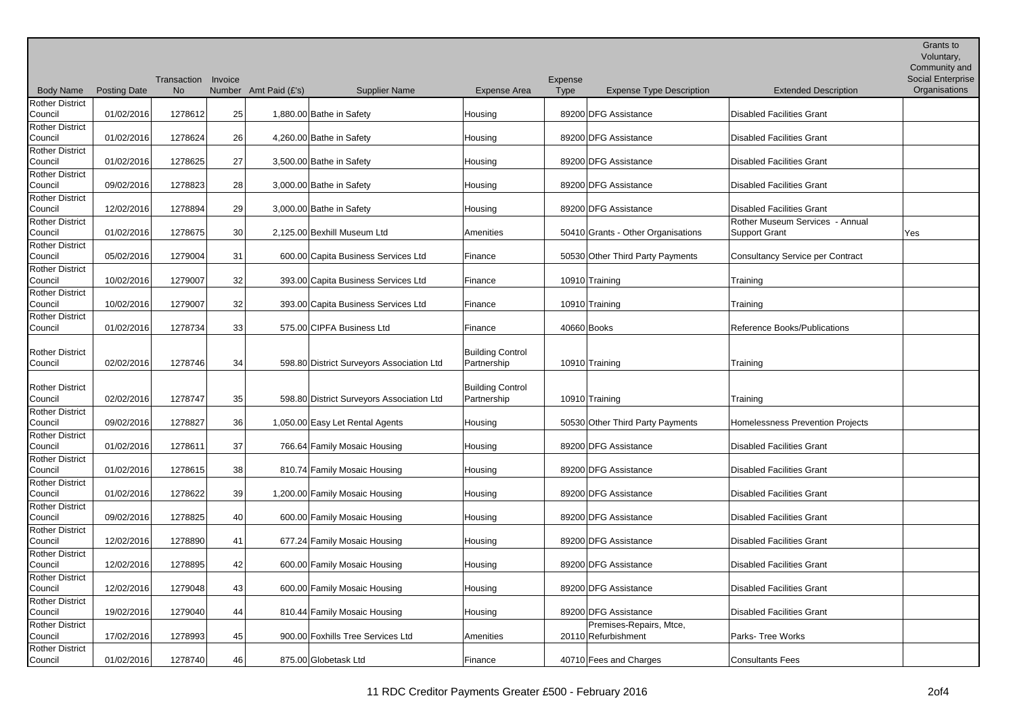| <b>Body Name</b>                  | <b>Posting Date</b> | Transaction<br><b>No</b> | Invoice         | Number Amt Paid (£'s) | <b>Supplier Name</b>                      | <b>Expense Area</b>                    | Expense<br>Type | <b>Expense Type Description</b>                | <b>Extended Description</b>                             | Grants to<br>Voluntary,<br>Community and<br><b>Social Enterprise</b><br>Organisations |
|-----------------------------------|---------------------|--------------------------|-----------------|-----------------------|-------------------------------------------|----------------------------------------|-----------------|------------------------------------------------|---------------------------------------------------------|---------------------------------------------------------------------------------------|
| <b>Rother District</b>            |                     |                          |                 |                       |                                           |                                        |                 |                                                |                                                         |                                                                                       |
| Council                           | 01/02/2016          | 1278612                  | 25              |                       | 1,880.00 Bathe in Safety                  | Housing                                |                 | 89200 DFG Assistance                           | <b>Disabled Facilities Grant</b>                        |                                                                                       |
| <b>Rother District</b><br>Council | 01/02/2016          | 1278624                  | 26              |                       | 4,260.00 Bathe in Safety                  | Housing                                |                 | 89200 DFG Assistance                           | <b>Disabled Facilities Grant</b>                        |                                                                                       |
| <b>Rother District</b><br>Council | 01/02/2016          | 1278625                  | 27              |                       | 3,500.00 Bathe in Safety                  | Housing                                |                 | 89200 DFG Assistance                           | <b>Disabled Facilities Grant</b>                        |                                                                                       |
| <b>Rother District</b><br>Council | 09/02/2016          | 1278823                  | 28              |                       | 3,000.00 Bathe in Safety                  | Housing                                |                 | 89200 DFG Assistance                           | <b>Disabled Facilities Grant</b>                        |                                                                                       |
| <b>Rother District</b><br>Council | 12/02/2016          | 1278894                  | 29              |                       | 3,000.00 Bathe in Safety                  | Housing                                |                 | 89200 DFG Assistance                           | <b>Disabled Facilities Grant</b>                        |                                                                                       |
| <b>Rother District</b><br>Council | 01/02/2016          | 1278675                  | 30 <sup>°</sup> |                       | 2,125.00 Bexhill Museum Ltd               | Amenities                              |                 | 50410 Grants - Other Organisations             | Rother Museum Services - Annual<br><b>Support Grant</b> | Yes                                                                                   |
| <b>Rother District</b><br>Council | 05/02/2016          | 1279004                  | 31              |                       | 600.00 Capita Business Services Ltd       | Finance                                |                 | 50530 Other Third Party Payments               | <b>Consultancy Service per Contract</b>                 |                                                                                       |
| <b>Rother District</b><br>Council | 10/02/2016          | 1279007                  | 32              |                       | 393.00 Capita Business Services Ltd       | Finance                                | 10910 Training  |                                                | Training                                                |                                                                                       |
| <b>Rother District</b><br>Council | 10/02/2016          | 1279007                  | 32              |                       | 393.00 Capita Business Services Ltd       | Finance                                | 10910 Training  |                                                | Training                                                |                                                                                       |
| <b>Rother District</b><br>Council | 01/02/2016          | 1278734                  | 33              |                       | 575.00 CIPFA Business Ltd                 | Finance                                | 40660 Books     |                                                | Reference Books/Publications                            |                                                                                       |
| <b>Rother District</b><br>Council | 02/02/2016          | 1278746                  | 34              |                       | 598.80 District Surveyors Association Ltd | <b>Building Control</b><br>Partnership | 10910 Training  |                                                | Training                                                |                                                                                       |
| <b>Rother District</b><br>Council | 02/02/2016          | 1278747                  | 35              |                       | 598.80 District Surveyors Association Ltd | <b>Building Control</b><br>Partnership | 10910 Training  |                                                | Training                                                |                                                                                       |
| <b>Rother District</b><br>Council | 09/02/2016          | 1278827                  | 36              |                       | 1,050.00 Easy Let Rental Agents           | Housing                                |                 | 50530 Other Third Party Payments               | Homelessness Prevention Projects                        |                                                                                       |
| <b>Rother District</b><br>Council | 01/02/2016          | 1278611                  | 37              |                       | 766.64 Family Mosaic Housing              | Housing                                |                 | 89200 DFG Assistance                           | <b>Disabled Facilities Grant</b>                        |                                                                                       |
| <b>Rother District</b><br>Council | 01/02/2016          | 1278615                  | 38              |                       | 810.74 Family Mosaic Housing              | Housing                                |                 | 89200 DFG Assistance                           | <b>Disabled Facilities Grant</b>                        |                                                                                       |
| <b>Rother District</b><br>Council | 01/02/2016          | 1278622                  | 39              |                       | 1,200.00 Family Mosaic Housing            | Housing                                |                 | 89200 DFG Assistance                           | <b>Disabled Facilities Grant</b>                        |                                                                                       |
| <b>Rother District</b><br>Council | 09/02/2016          | 1278825                  | 40              |                       | 600.00 Family Mosaic Housing              | Housing                                |                 | 89200 DFG Assistance                           | <b>Disabled Facilities Grant</b>                        |                                                                                       |
| <b>Rother District</b><br>Council | 12/02/2016          | 1278890                  | 41              |                       | 677.24 Family Mosaic Housing              | Housing                                |                 | 89200 DFG Assistance                           | <b>Disabled Facilities Grant</b>                        |                                                                                       |
| <b>Rother District</b><br>Council | 12/02/2016          | 1278895                  | 42              |                       | 600.00 Family Mosaic Housing              | Housing                                |                 | 89200 DFG Assistance                           | <b>Disabled Facilities Grant</b>                        |                                                                                       |
| <b>Rother District</b><br>Council | 12/02/2016          | 1279048                  | 43              |                       | 600.00 Family Mosaic Housing              | Housing                                |                 | 89200 DFG Assistance                           | <b>Disabled Facilities Grant</b>                        |                                                                                       |
| <b>Rother District</b><br>Council | 19/02/2016          | 1279040                  | 44              |                       | 810.44 Family Mosaic Housing              | Housing                                |                 | 89200 DFG Assistance                           | <b>Disabled Facilities Grant</b>                        |                                                                                       |
| <b>Rother District</b><br>Council | 17/02/2016          | 1278993                  | 45              |                       | 900.00 Foxhills Tree Services Ltd         | Amenities                              |                 | Premises-Repairs, Mtce,<br>20110 Refurbishment | Parks- Tree Works                                       |                                                                                       |
| <b>Rother District</b><br>Council | 01/02/2016          | 1278740                  | 46              |                       | 875.00 Globetask Ltd                      | Finance                                |                 | 40710 Fees and Charges                         | <b>Consultants Fees</b>                                 |                                                                                       |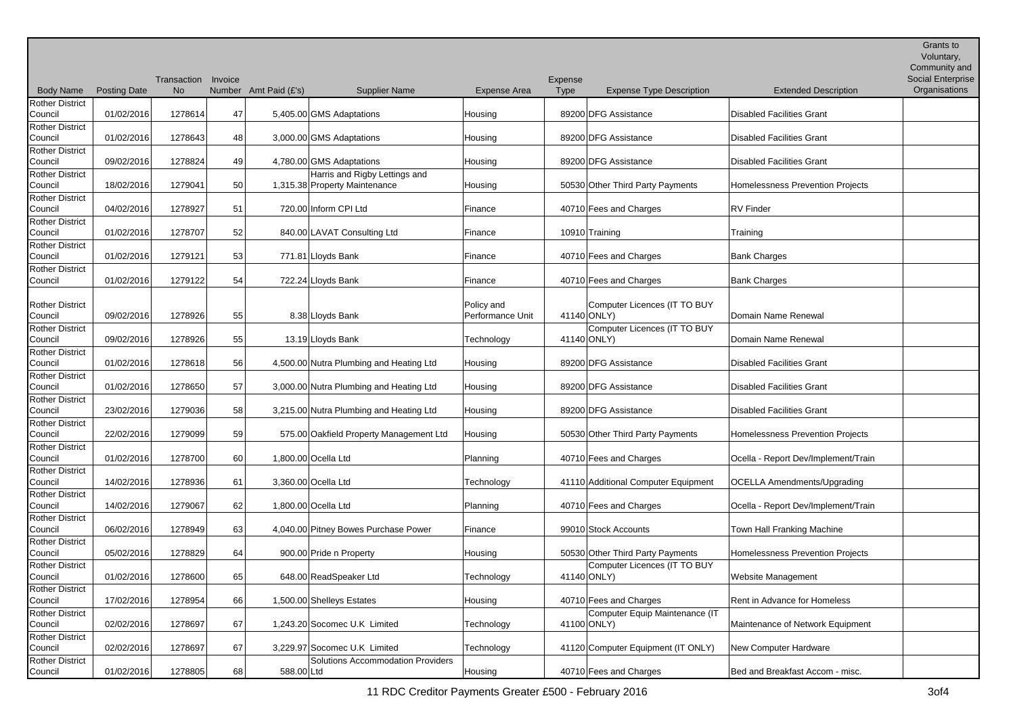| <b>Body Name</b>                  | <b>Posting Date</b> | Transaction<br><b>No</b> | Invoice | Number Amt Paid (£'s) | <b>Supplier Name</b>                    | <b>Expense Area</b> | Expense<br><b>Type</b> | <b>Expense Type Description</b>     | <b>Extended Description</b>             | Grants to<br>Voluntary,<br>Community and<br><b>Social Enterprise</b><br>Organisations |
|-----------------------------------|---------------------|--------------------------|---------|-----------------------|-----------------------------------------|---------------------|------------------------|-------------------------------------|-----------------------------------------|---------------------------------------------------------------------------------------|
| <b>Rother District</b>            |                     |                          |         |                       |                                         |                     |                        |                                     |                                         |                                                                                       |
| Council                           | 01/02/2016          | 1278614                  | 47      |                       | 5,405.00 GMS Adaptations                | Housing             |                        | 89200 DFG Assistance                | <b>Disabled Facilities Grant</b>        |                                                                                       |
| <b>Rother District</b>            |                     |                          |         |                       |                                         |                     |                        |                                     |                                         |                                                                                       |
| Council                           | 01/02/2016          | 1278643                  | 48      |                       | 3,000.00 GMS Adaptations                | Housing             |                        | 89200 DFG Assistance                | <b>Disabled Facilities Grant</b>        |                                                                                       |
| <b>Rother District</b>            |                     |                          |         |                       |                                         |                     |                        |                                     |                                         |                                                                                       |
| Council                           | 09/02/2016          | 1278824                  | 49      |                       | 4,780.00 GMS Adaptations                | Housing             |                        | 89200 DFG Assistance                | <b>Disabled Facilities Grant</b>        |                                                                                       |
| <b>Rother District</b>            |                     |                          |         |                       | Harris and Rigby Lettings and           |                     |                        |                                     |                                         |                                                                                       |
| Council                           | 18/02/2016          | 1279041                  | 50      |                       | 1,315.38 Property Maintenance           | Housing             |                        | 50530 Other Third Party Payments    | <b>Homelessness Prevention Projects</b> |                                                                                       |
| <b>Rother District</b>            |                     |                          |         |                       |                                         |                     |                        |                                     |                                         |                                                                                       |
| Council                           | 04/02/2016          | 1278927                  | 51      |                       | 720.00 Inform CPI Ltd                   | Finance             |                        | 40710 Fees and Charges              | <b>RV</b> Finder                        |                                                                                       |
| <b>Rother District</b>            |                     |                          |         |                       |                                         |                     |                        |                                     |                                         |                                                                                       |
| Council                           | 01/02/2016          | 1278707                  | 52      |                       | 840.00 LAVAT Consulting Ltd             | Finance             |                        | 10910 Training                      | Training                                |                                                                                       |
| <b>Rother District</b>            |                     |                          |         |                       |                                         |                     |                        |                                     |                                         |                                                                                       |
| Council                           | 01/02/2016          | 1279121                  | 53      |                       | 771.81 Lloyds Bank                      | Finance             |                        | 40710 Fees and Charges              | <b>Bank Charges</b>                     |                                                                                       |
| <b>Rother District</b>            |                     |                          |         |                       |                                         |                     |                        |                                     |                                         |                                                                                       |
| Council                           | 01/02/2016          | 1279122                  | 54      |                       | 722.24 Lloyds Bank                      | Finance             |                        | 40710 Fees and Charges              | <b>Bank Charges</b>                     |                                                                                       |
|                                   |                     |                          |         |                       |                                         |                     |                        |                                     |                                         |                                                                                       |
| <b>Rother District</b>            |                     |                          |         |                       |                                         | Policy and          |                        | Computer Licences (IT TO BUY        |                                         |                                                                                       |
| Council                           | 09/02/2016          | 1278926                  | 55      |                       | 8.38 Lloyds Bank                        | Performance Unit    |                        | 41140 ONLY)                         | Domain Name Renewal                     |                                                                                       |
| <b>Rother District</b>            |                     |                          |         |                       |                                         |                     |                        | Computer Licences (IT TO BUY        |                                         |                                                                                       |
| Council<br><b>Rother District</b> | 09/02/2016          | 1278926                  | 55      |                       | 13.19 Lloyds Bank                       | Technology          |                        | 41140 ONLY)                         | Domain Name Renewal                     |                                                                                       |
| Council                           | 01/02/2016          | 1278618                  | 56      |                       | 4,500.00 Nutra Plumbing and Heating Ltd | Housing             |                        | 89200 DFG Assistance                | <b>Disabled Facilities Grant</b>        |                                                                                       |
| <b>Rother District</b>            |                     |                          |         |                       |                                         |                     |                        |                                     |                                         |                                                                                       |
| Council                           | 01/02/2016          | 1278650                  | 57      |                       | 3,000.00 Nutra Plumbing and Heating Ltd | Housing             |                        | 89200 DFG Assistance                | <b>Disabled Facilities Grant</b>        |                                                                                       |
| <b>Rother District</b>            |                     |                          |         |                       |                                         |                     |                        |                                     |                                         |                                                                                       |
| Council                           | 23/02/2016          | 1279036                  | 58      |                       | 3,215.00 Nutra Plumbing and Heating Ltd | Housing             |                        | 89200 DFG Assistance                | <b>Disabled Facilities Grant</b>        |                                                                                       |
| <b>Rother District</b>            |                     |                          |         |                       |                                         |                     |                        |                                     |                                         |                                                                                       |
| Council                           | 22/02/2016          | 1279099                  | 59      |                       | 575.00 Oakfield Property Management Ltd | Housing             |                        | 50530 Other Third Party Payments    | Homelessness Prevention Projects        |                                                                                       |
| <b>Rother District</b>            |                     |                          |         |                       |                                         |                     |                        |                                     |                                         |                                                                                       |
| Council                           | 01/02/2016          | 1278700                  | 60      |                       | 1,800.00 Ocella Ltd                     | Planning            |                        | 40710 Fees and Charges              | Ocella - Report Dev/Implement/Train     |                                                                                       |
| <b>Rother District</b>            |                     |                          |         |                       |                                         |                     |                        |                                     |                                         |                                                                                       |
| Council                           | 14/02/2016          | 1278936                  | 61      |                       | 3,360.00 Ocella Ltd                     | Technology          |                        | 41110 Additional Computer Equipment | <b>OCELLA Amendments/Upgrading</b>      |                                                                                       |
| <b>Rother District</b>            |                     |                          |         |                       |                                         |                     |                        |                                     |                                         |                                                                                       |
| Council                           | 14/02/2016          | 1279067                  | 62      |                       | 1,800.00 Ocella Ltd                     | Planning            |                        | 40710 Fees and Charges              | Ocella - Report Dev/Implement/Train     |                                                                                       |
| <b>Rother District</b>            |                     |                          |         |                       |                                         |                     |                        |                                     |                                         |                                                                                       |
| Council                           | 06/02/2016          | 1278949                  | 63      |                       | 4,040.00 Pitney Bowes Purchase Power    | Finance             |                        | 99010 Stock Accounts                | Town Hall Franking Machine              |                                                                                       |
| Rother District                   |                     |                          |         |                       |                                         |                     |                        |                                     |                                         |                                                                                       |
| Council                           | 05/02/2016          | 1278829                  | 64      |                       | 900.00 Pride n Property                 | Housing             |                        | 50530 Other Third Party Payments    | Homelessness Prevention Projects        |                                                                                       |
| <b>Rother District</b>            |                     |                          |         |                       |                                         |                     |                        | Computer Licences (IT TO BUY        |                                         |                                                                                       |
| Council<br><b>Rother District</b> | 01/02/2016          | 1278600                  | 65      |                       | 648.00 ReadSpeaker Ltd                  | Technology          |                        | 41140 ONLY)                         | Website Management                      |                                                                                       |
| Council                           | 17/02/2016          | 1278954                  | 66      |                       | 1,500.00 Shelleys Estates               | Housing             |                        | 40710 Fees and Charges              | Rent in Advance for Homeless            |                                                                                       |
| <b>Rother District</b>            |                     |                          |         |                       |                                         |                     |                        | Computer Equip Maintenance (IT      |                                         |                                                                                       |
| Council                           | 02/02/2016          | 1278697                  | 67      |                       | 1,243.20 Socomec U.K Limited            | Technology          |                        | 41100 ONLY)                         | Maintenance of Network Equipment        |                                                                                       |
| <b>Rother District</b>            |                     |                          |         |                       |                                         |                     |                        |                                     |                                         |                                                                                       |
| Council                           | 02/02/2016          | 1278697                  | 67      |                       | 3,229.97 Socomec U.K Limited            | Technology          |                        | 41120 Computer Equipment (IT ONLY)  | New Computer Hardware                   |                                                                                       |
| <b>Rother District</b>            |                     |                          |         |                       | Solutions Accommodation Providers       |                     |                        |                                     |                                         |                                                                                       |
| Council                           | 01/02/2016          | 1278805                  | 68      | 588.00 Ltd            |                                         | Housing             |                        | 40710 Fees and Charges              | Bed and Breakfast Accom - misc.         |                                                                                       |